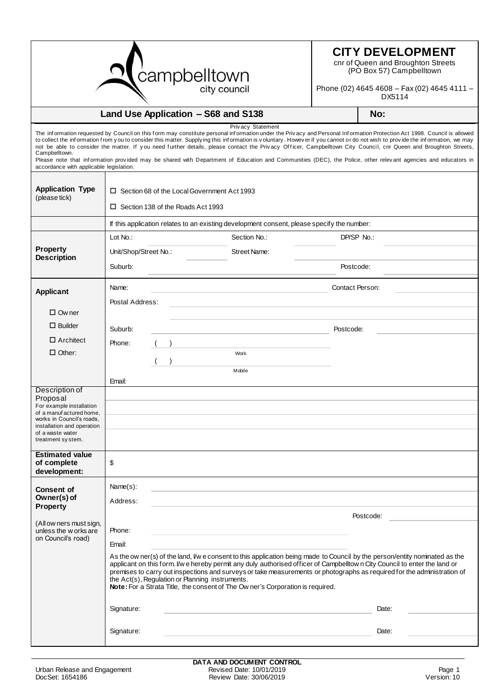

## **CITY DEVELOPMENT**

cnr of Queen and Broughton Streets (PO Box 57) Campbelltown

Phone (02) 4645 4608 – Fax (02) 4645 4111 – DX5114

| Land Use Application - S68 and S138                                                                                                                                                    |                                                                                                                                                                                                                                                                                                                                                                                                                                                                                                                          |                              | No:                                                                                                                                                                                                                                                                                                                                                                                                                                                                                                                                                                                                                                                                                           |  |  |
|----------------------------------------------------------------------------------------------------------------------------------------------------------------------------------------|--------------------------------------------------------------------------------------------------------------------------------------------------------------------------------------------------------------------------------------------------------------------------------------------------------------------------------------------------------------------------------------------------------------------------------------------------------------------------------------------------------------------------|------------------------------|-----------------------------------------------------------------------------------------------------------------------------------------------------------------------------------------------------------------------------------------------------------------------------------------------------------------------------------------------------------------------------------------------------------------------------------------------------------------------------------------------------------------------------------------------------------------------------------------------------------------------------------------------------------------------------------------------|--|--|
| Campbelltown.<br>accordance with applicable legislation.                                                                                                                               |                                                                                                                                                                                                                                                                                                                                                                                                                                                                                                                          | Privacy Statement            | The information requested by Council on this form may constitute personal information under the Privacy and Personal Information Protection Act 1998. Council is allowed<br>to collect the information from you to consider this matter. Supplying this information is voluntary. However if you cannot or do not wish to provide the information, we may<br>not be able to consider the matter. If you need further details, please contact the Privacy Officer, Campbelltown City Council, cnr Queen and Broughton Streets,<br>Please note that information provided may be shared with Department of Education and Communities (DEC), the Police, other relevant agencies and educators in |  |  |
| <b>Application Type</b><br>(please tick)                                                                                                                                               | □ Section 68 of the Local Government Act 1993<br>□ Section 138 of the Roads Act 1993                                                                                                                                                                                                                                                                                                                                                                                                                                     |                              |                                                                                                                                                                                                                                                                                                                                                                                                                                                                                                                                                                                                                                                                                               |  |  |
|                                                                                                                                                                                        | If this application relates to an existing development consent, please specify the number:                                                                                                                                                                                                                                                                                                                                                                                                                               |                              |                                                                                                                                                                                                                                                                                                                                                                                                                                                                                                                                                                                                                                                                                               |  |  |
| <b>Property</b><br><b>Description</b>                                                                                                                                                  | Lot No.:<br>Unit/Shop/Street No.:<br>Suburb:                                                                                                                                                                                                                                                                                                                                                                                                                                                                             | Section No.:<br>Street Name: | DP/SP No.:<br>Postcode:                                                                                                                                                                                                                                                                                                                                                                                                                                                                                                                                                                                                                                                                       |  |  |
| <b>Applicant</b>                                                                                                                                                                       | Name:<br>Postal Address:                                                                                                                                                                                                                                                                                                                                                                                                                                                                                                 |                              | Contact Person:                                                                                                                                                                                                                                                                                                                                                                                                                                                                                                                                                                                                                                                                               |  |  |
| $\Box$ Ow ner                                                                                                                                                                          |                                                                                                                                                                                                                                                                                                                                                                                                                                                                                                                          |                              |                                                                                                                                                                                                                                                                                                                                                                                                                                                                                                                                                                                                                                                                                               |  |  |
| $\Box$ Builder                                                                                                                                                                         | Suburb:                                                                                                                                                                                                                                                                                                                                                                                                                                                                                                                  |                              | Postcode:                                                                                                                                                                                                                                                                                                                                                                                                                                                                                                                                                                                                                                                                                     |  |  |
| $\Box$ Architect                                                                                                                                                                       | Phone:                                                                                                                                                                                                                                                                                                                                                                                                                                                                                                                   |                              |                                                                                                                                                                                                                                                                                                                                                                                                                                                                                                                                                                                                                                                                                               |  |  |
| $\Box$ Other:                                                                                                                                                                          |                                                                                                                                                                                                                                                                                                                                                                                                                                                                                                                          | Work                         |                                                                                                                                                                                                                                                                                                                                                                                                                                                                                                                                                                                                                                                                                               |  |  |
|                                                                                                                                                                                        | Email:                                                                                                                                                                                                                                                                                                                                                                                                                                                                                                                   | Mobile                       |                                                                                                                                                                                                                                                                                                                                                                                                                                                                                                                                                                                                                                                                                               |  |  |
| Description of<br>Proposal<br>For example installation<br>of a manuf actured home,<br>works in Council's roads,<br>installation and operation<br>of a waste water<br>treatment system. |                                                                                                                                                                                                                                                                                                                                                                                                                                                                                                                          |                              |                                                                                                                                                                                                                                                                                                                                                                                                                                                                                                                                                                                                                                                                                               |  |  |
| <b>Estimated value</b><br>of complete<br>development:                                                                                                                                  | \$                                                                                                                                                                                                                                                                                                                                                                                                                                                                                                                       |                              |                                                                                                                                                                                                                                                                                                                                                                                                                                                                                                                                                                                                                                                                                               |  |  |
| <b>Consent of</b><br>Owner(s) of                                                                                                                                                       | Name(s):                                                                                                                                                                                                                                                                                                                                                                                                                                                                                                                 |                              |                                                                                                                                                                                                                                                                                                                                                                                                                                                                                                                                                                                                                                                                                               |  |  |
|                                                                                                                                                                                        | Address:                                                                                                                                                                                                                                                                                                                                                                                                                                                                                                                 |                              |                                                                                                                                                                                                                                                                                                                                                                                                                                                                                                                                                                                                                                                                                               |  |  |
| <b>Property</b><br>(All ow ners must sign,<br>unless the w orks are<br>on Council's road)                                                                                              |                                                                                                                                                                                                                                                                                                                                                                                                                                                                                                                          |                              | Postcode:                                                                                                                                                                                                                                                                                                                                                                                                                                                                                                                                                                                                                                                                                     |  |  |
|                                                                                                                                                                                        | Phone:                                                                                                                                                                                                                                                                                                                                                                                                                                                                                                                   |                              |                                                                                                                                                                                                                                                                                                                                                                                                                                                                                                                                                                                                                                                                                               |  |  |
|                                                                                                                                                                                        | Email:                                                                                                                                                                                                                                                                                                                                                                                                                                                                                                                   |                              |                                                                                                                                                                                                                                                                                                                                                                                                                                                                                                                                                                                                                                                                                               |  |  |
|                                                                                                                                                                                        | As the ow ner(s) of the land, I/w e consent to this application being made to Council by the person/entity nominated as the<br>applicant on this form. I'w e hereby permit any duly authorised officer of Campbelltow n City Council to enter the land or<br>premises to carry out inspections and surveys or take measurements or photographs as required for the administration of<br>the Act(s), Regulation or Planning instruments.<br>Note: For a Strata Title, the consent of The Owner's Corporation is required. |                              |                                                                                                                                                                                                                                                                                                                                                                                                                                                                                                                                                                                                                                                                                               |  |  |
|                                                                                                                                                                                        | Signature:                                                                                                                                                                                                                                                                                                                                                                                                                                                                                                               |                              | Date:                                                                                                                                                                                                                                                                                                                                                                                                                                                                                                                                                                                                                                                                                         |  |  |
|                                                                                                                                                                                        | Signature:                                                                                                                                                                                                                                                                                                                                                                                                                                                                                                               |                              | Date:                                                                                                                                                                                                                                                                                                                                                                                                                                                                                                                                                                                                                                                                                         |  |  |